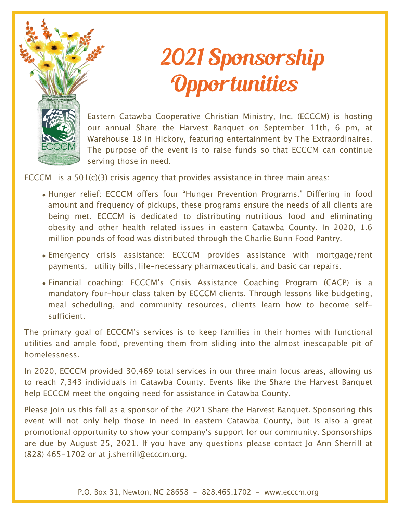

# 2021 Sponsorship **Opportunities**

Eastern Catawba Cooperative Christian Ministry, Inc. (ECCCM) is hosting our annual Share the Harvest Banquet on September 11th, 6 pm, at Warehouse 18 in Hickory, featuring entertainment by The Extraordinaires. The purpose of the event is to raise funds so that ECCCM can continue serving those in need.

ECCCM is a  $501(c)(3)$  crisis agency that provides assistance in three main areas:

- Hunger relief: ECCCM offers four "Hunger Prevention Programs." Differing in food amount and frequency of pickups, these programs ensure the needs of all clients are being met. ECCCM is dedicated to distributing nutritious food and eliminating obesity and other health related issues in eastern Catawba County. In 2020, 1.6 million pounds of food was distributed through the Charlie Bunn Food Pantry.
- Emergency crisis assistance: ECCCM provides assistance with mortgage/rent payments, utility bills, life-necessary pharmaceuticals, and basic car repairs.
- Financial coaching: ECCCM's Crisis Assistance Coaching Program (CACP) is a mandatory four-hour class taken by ECCCM clients. Through lessons like budgeting, meal scheduling, and community resources, clients learn how to become selfsufficient.

The primary goal of ECCCM's services is to keep families in their homes with functional utilities and ample food, preventing them from sliding into the almost inescapable pit of homelessness.

In 2020, ECCCM provided 30,469 total services in our three main focus areas, allowing us to reach 7,343 individuals in Catawba County. Events like the Share the Harvest Banquet help ECCCM meet the ongoing need for assistance in Catawba County.

Please join us this fall as a sponsor of the 2021 Share the Harvest Banquet. Sponsoring this event will not only help those in need in eastern Catawba County, but is also a great promotional opportunity to show your company's support for our community. Sponsorships are due by August 25, 2021. If you have any questions please contact Jo Ann Sherrill at (828) 465-1702 or at j.sherrill@ecccm.org.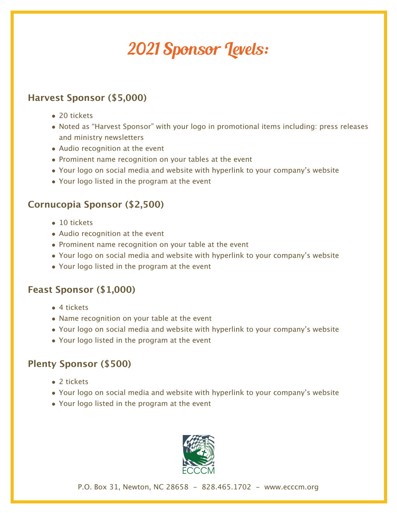### 2021 Sponsor Levels:

#### **Harvest Sponsor (\$5,000)**

- 20 tickets
- Noted as "Harvest Sponsor" with your logo in promotional items including: press releases and ministry newsletters
- Audio recognition at the event
- Prominent name recognition on your tables at the event
- Your logo on social media and website with hyperlink to your company's website
- Your logo listed in the program at the event

#### **Cornucopia Sponsor (\$2,500)**

- 10 tickets
- Audio recognition at the event
- Prominent name recognition on your table at the event
- Your logo on social media and website with hyperlink to your company's website
- Your logo listed in the program at the event

#### **Feast Sponsor (\$1,000)**

- 4 tickets
- Name recognition on your table at the event
- Your logo on social media and website with hyperlink to your company's website
- Your logo listed in the program at the event

#### **Plenty Sponsor (\$500)**

- 2 tickets
- Your logo on social media and website with hyperlink to your company's website
- Your logo listed in the program at the event



P.O. Box 31, Newton, NC 28658 - 828.465.1702 - www.ecccm.org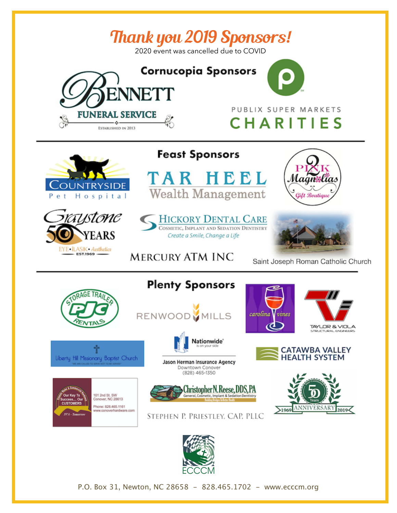